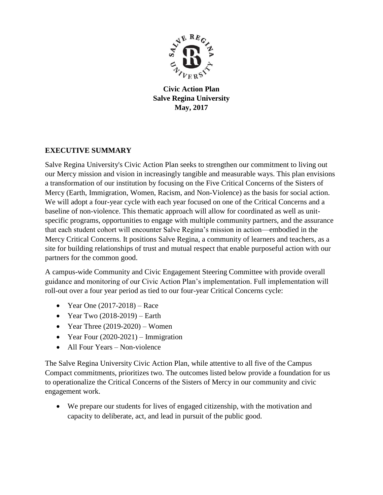

**Civic Action Plan Salve Regina University May, 2017**

## **EXECUTIVE SUMMARY**

Salve Regina University's Civic Action Plan seeks to strengthen our commitment to living out our Mercy mission and vision in increasingly tangible and measurable ways. This plan envisions a transformation of our institution by focusing on the Five Critical Concerns of the Sisters of Mercy (Earth, Immigration, Women, Racism, and Non-Violence) as the basis for social action. We will adopt a four-year cycle with each year focused on one of the Critical Concerns and a baseline of non-violence. This thematic approach will allow for coordinated as well as unitspecific programs, opportunities to engage with multiple community partners, and the assurance that each student cohort will encounter Salve Regina's mission in action—embodied in the Mercy Critical Concerns. It positions Salve Regina, a community of learners and teachers, as a site for building relationships of trust and mutual respect that enable purposeful action with our partners for the common good.

A campus-wide Community and Civic Engagement Steering Committee with provide overall guidance and monitoring of our Civic Action Plan's implementation. Full implementation will roll-out over a four year period as tied to our four-year Critical Concerns cycle:

- Year One  $(2017-2018)$  Race
- Year Two  $(2018-2019)$  Earth
- Year Three  $(2019-2020)$  Women
- Year Four  $(2020-2021)$  Immigration
- All Four Years Non-violence

The Salve Regina University Civic Action Plan, while attentive to all five of the Campus Compact commitments, prioritizes two. The outcomes listed below provide a foundation for us to operationalize the Critical Concerns of the Sisters of Mercy in our community and civic engagement work.

 We prepare our students for lives of engaged citizenship, with the motivation and capacity to deliberate, act, and lead in pursuit of the public good.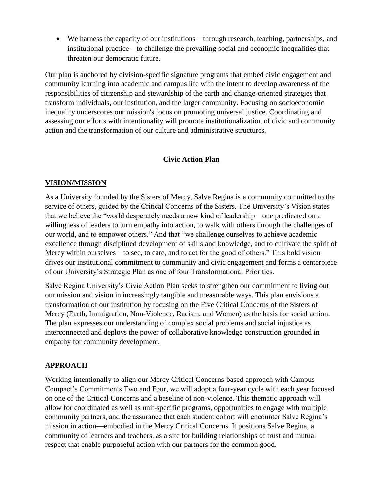We harness the capacity of our institutions – through research, teaching, partnerships, and institutional practice – to challenge the prevailing social and economic inequalities that threaten our democratic future.

Our plan is anchored by division-specific signature programs that embed civic engagement and community learning into academic and campus life with the intent to develop awareness of the responsibilities of citizenship and stewardship of the earth and change-oriented strategies that transform individuals, our institution, and the larger community. Focusing on socioeconomic inequality underscores our mission's focus on promoting universal justice. Coordinating and assessing our efforts with intentionality will promote institutionalization of civic and community action and the transformation of our culture and administrative structures.

#### **Civic Action Plan**

#### **VISION/MISSION**

As a University founded by the Sisters of Mercy, Salve Regina is a community committed to the service of others, guided by the Critical Concerns of the Sisters. The University's Vision states that we believe the "world desperately needs a new kind of leadership – one predicated on a willingness of leaders to turn empathy into action, to walk with others through the challenges of our world, and to empower others." And that "we challenge ourselves to achieve academic excellence through disciplined development of skills and knowledge, and to cultivate the spirit of Mercy within ourselves – to see, to care, and to act for the good of others." This bold vision drives our institutional commitment to community and civic engagement and forms a centerpiece of our University's Strategic Plan as one of four Transformational Priorities.

Salve Regina University's Civic Action Plan seeks to strengthen our commitment to living out our mission and vision in increasingly tangible and measurable ways. This plan envisions a transformation of our institution by focusing on the Five Critical Concerns of the Sisters of Mercy (Earth, Immigration, Non-Violence, Racism, and Women) as the basis for social action. The plan expresses our understanding of complex social problems and social injustice as interconnected and deploys the power of collaborative knowledge construction grounded in empathy for community development.

#### **APPROACH**

Working intentionally to align our Mercy Critical Concerns-based approach with Campus Compact's Commitments Two and Four, we will adopt a four-year cycle with each year focused on one of the Critical Concerns and a baseline of non-violence. This thematic approach will allow for coordinated as well as unit-specific programs, opportunities to engage with multiple community partners, and the assurance that each student cohort will encounter Salve Regina's mission in action—embodied in the Mercy Critical Concerns. It positions Salve Regina, a community of learners and teachers, as a site for building relationships of trust and mutual respect that enable purposeful action with our partners for the common good.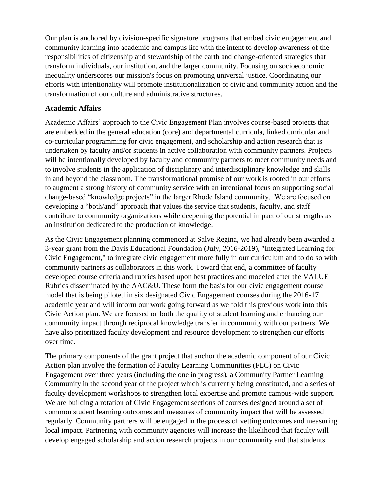Our plan is anchored by division-specific signature programs that embed civic engagement and community learning into academic and campus life with the intent to develop awareness of the responsibilities of citizenship and stewardship of the earth and change-oriented strategies that transform individuals, our institution, and the larger community. Focusing on socioeconomic inequality underscores our mission's focus on promoting universal justice. Coordinating our efforts with intentionality will promote institutionalization of civic and community action and the transformation of our culture and administrative structures.

## **Academic Affairs**

Academic Affairs' approach to the Civic Engagement Plan involves course-based projects that are embedded in the general education (core) and departmental curricula, linked curricular and co-curricular programming for civic engagement, and scholarship and action research that is undertaken by faculty and/or students in active collaboration with community partners. Projects will be intentionally developed by faculty and community partners to meet community needs and to involve students in the application of disciplinary and interdisciplinary knowledge and skills in and beyond the classroom. The transformational promise of our work is rooted in our efforts to augment a strong history of community service with an intentional focus on supporting social change-based "knowledge projects" in the larger Rhode Island community. We are focused on developing a "both/and" approach that values the service that students, faculty, and staff contribute to community organizations while deepening the potential impact of our strengths as an institution dedicated to the production of knowledge.

As the Civic Engagement planning commenced at Salve Regina, we had already been awarded a 3-year grant from the Davis Educational Foundation (July, 2016-2019), "Integrated Learning for Civic Engagement," to integrate civic engagement more fully in our curriculum and to do so with community partners as collaborators in this work. Toward that end, a committee of faculty developed course criteria and rubrics based upon best practices and modeled after the VALUE Rubrics disseminated by the AAC&U. These form the basis for our civic engagement course model that is being piloted in six designated Civic Engagement courses during the 2016-17 academic year and will inform our work going forward as we fold this previous work into this Civic Action plan. We are focused on both the quality of student learning and enhancing our community impact through reciprocal knowledge transfer in community with our partners. We have also prioritized faculty development and resource development to strengthen our efforts over time.

The primary components of the grant project that anchor the academic component of our Civic Action plan involve the formation of Faculty Learning Communities (FLC) on Civic Engagement over three years (including the one in progress), a Community Partner Learning Community in the second year of the project which is currently being constituted, and a series of faculty development workshops to strengthen local expertise and promote campus-wide support. We are building a rotation of Civic Engagement sections of courses designed around a set of common student learning outcomes and measures of community impact that will be assessed regularly. Community partners will be engaged in the process of vetting outcomes and measuring local impact. Partnering with community agencies will increase the likelihood that faculty will develop engaged scholarship and action research projects in our community and that students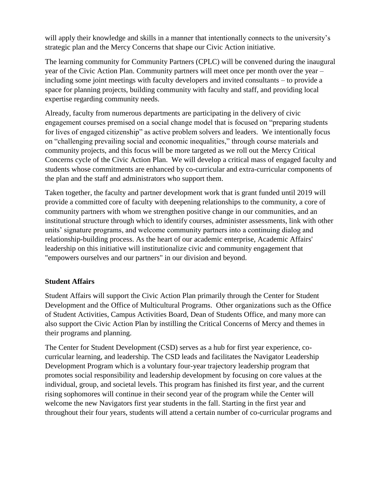will apply their knowledge and skills in a manner that intentionally connects to the university's strategic plan and the Mercy Concerns that shape our Civic Action initiative.

The learning community for Community Partners (CPLC) will be convened during the inaugural year of the Civic Action Plan. Community partners will meet once per month over the year – including some joint meetings with faculty developers and invited consultants – to provide a space for planning projects, building community with faculty and staff, and providing local expertise regarding community needs.

Already, faculty from numerous departments are participating in the delivery of civic engagement courses premised on a social change model that is focused on "preparing students for lives of engaged citizenship" as active problem solvers and leaders. We intentionally focus on "challenging prevailing social and economic inequalities," through course materials and community projects, and this focus will be more targeted as we roll out the Mercy Critical Concerns cycle of the Civic Action Plan. We will develop a critical mass of engaged faculty and students whose commitments are enhanced by co-curricular and extra-curricular components of the plan and the staff and administrators who support them.

Taken together, the faculty and partner development work that is grant funded until 2019 will provide a committed core of faculty with deepening relationships to the community, a core of community partners with whom we strengthen positive change in our communities, and an institutional structure through which to identify courses, administer assessments, link with other units' signature programs, and welcome community partners into a continuing dialog and relationship-building process. As the heart of our academic enterprise, Academic Affairs' leadership on this initiative will institutionalize civic and community engagement that "empowers ourselves and our partners" in our division and beyond.

## **Student Affairs**

Student Affairs will support the Civic Action Plan primarily through the Center for Student Development and the Office of Multicultural Programs. Other organizations such as the Office of Student Activities, Campus Activities Board, Dean of Students Office, and many more can also support the Civic Action Plan by instilling the Critical Concerns of Mercy and themes in their programs and planning.

The Center for Student Development (CSD) serves as a hub for first year experience, cocurricular learning, and leadership. The CSD leads and facilitates the Navigator Leadership Development Program which is a voluntary four-year trajectory leadership program that promotes social responsibility and leadership development by focusing on core values at the individual, group, and societal levels. This program has finished its first year, and the current rising sophomores will continue in their second year of the program while the Center will welcome the new Navigators first year students in the fall. Starting in the first year and throughout their four years, students will attend a certain number of co-curricular programs and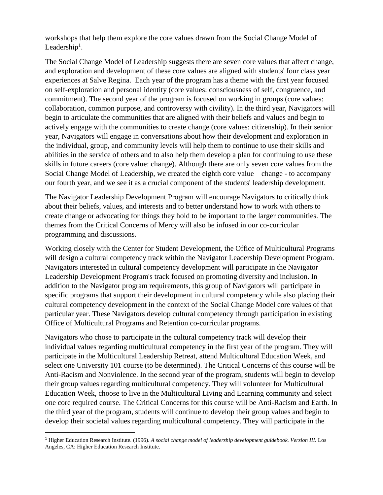workshops that help them explore the core values drawn from the Social Change Model of Leadership<sup>1</sup>.

The Social Change Model of Leadership suggests there are seven core values that affect change, and exploration and development of these core values are aligned with students' four class year experiences at Salve Regina. Each year of the program has a theme with the first year focused on self-exploration and personal identity (core values: consciousness of self, congruence, and commitment). The second year of the program is focused on working in groups (core values: collaboration, common purpose, and controversy with civility). In the third year, Navigators will begin to articulate the communities that are aligned with their beliefs and values and begin to actively engage with the communities to create change (core values: citizenship). In their senior year, Navigators will engage in conversations about how their development and exploration in the individual, group, and community levels will help them to continue to use their skills and abilities in the service of others and to also help them develop a plan for continuing to use these skills in future careers (core value: change). Although there are only seven core values from the Social Change Model of Leadership, we created the eighth core value – change - to accompany our fourth year, and we see it as a crucial component of the students' leadership development.

The Navigator Leadership Development Program will encourage Navigators to critically think about their beliefs, values, and interests and to better understand how to work with others to create change or advocating for things they hold to be important to the larger communities. The themes from the Critical Concerns of Mercy will also be infused in our co-curricular programming and discussions.

Working closely with the Center for Student Development, the Office of Multicultural Programs will design a cultural competency track within the Navigator Leadership Development Program. Navigators interested in cultural competency development will participate in the Navigator Leadership Development Program's track focused on promoting diversity and inclusion. In addition to the Navigator program requirements, this group of Navigators will participate in specific programs that support their development in cultural competency while also placing their cultural competency development in the context of the Social Change Model core values of that particular year. These Navigators develop cultural competency through participation in existing Office of Multicultural Programs and Retention co-curricular programs.

Navigators who chose to participate in the cultural competency track will develop their individual values regarding multicultural competency in the first year of the program. They will participate in the Multicultural Leadership Retreat, attend Multicultural Education Week, and select one University 101 course (to be determined). The Critical Concerns of this course will be Anti-Racism and Nonviolence. In the second year of the program, students will begin to develop their group values regarding multicultural competency. They will volunteer for Multicultural Education Week, choose to live in the Multicultural Living and Learning community and select one core required course. The Critical Concerns for this course will be Anti-Racism and Earth. In the third year of the program, students will continue to develop their group values and begin to develop their societal values regarding multicultural competency. They will participate in the

 $\overline{a}$ 

<sup>1</sup> Higher Education Research Institute. (1996). *A social change model of leadership development guidebook. Version III.* Los Angeles, CA: Higher Education Research Institute.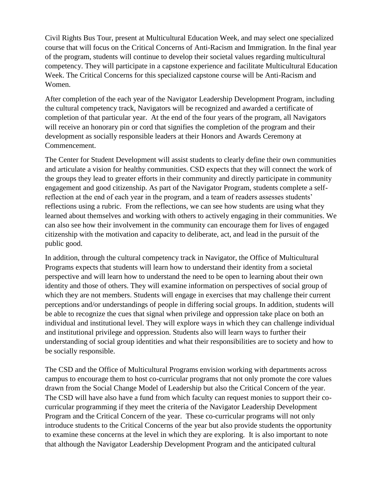Civil Rights Bus Tour, present at Multicultural Education Week, and may select one specialized course that will focus on the Critical Concerns of Anti-Racism and Immigration. In the final year of the program, students will continue to develop their societal values regarding multicultural competency. They will participate in a capstone experience and facilitate Multicultural Education Week. The Critical Concerns for this specialized capstone course will be Anti-Racism and Women.

After completion of the each year of the Navigator Leadership Development Program, including the cultural competency track, Navigators will be recognized and awarded a certificate of completion of that particular year. At the end of the four years of the program, all Navigators will receive an honorary pin or cord that signifies the completion of the program and their development as socially responsible leaders at their Honors and Awards Ceremony at Commencement.

The Center for Student Development will assist students to clearly define their own communities and articulate a vision for healthy communities. CSD expects that they will connect the work of the groups they lead to greater efforts in their community and directly participate in community engagement and good citizenship. As part of the Navigator Program, students complete a selfreflection at the end of each year in the program, and a team of readers assesses students' reflections using a rubric. From the reflections, we can see how students are using what they learned about themselves and working with others to actively engaging in their communities. We can also see how their involvement in the community can encourage them for lives of engaged citizenship with the motivation and capacity to deliberate, act, and lead in the pursuit of the public good.

In addition, through the cultural competency track in Navigator, the Office of Multicultural Programs expects that students will learn how to understand their identity from a societal perspective and will learn how to understand the need to be open to learning about their own identity and those of others. They will examine information on perspectives of social group of which they are not members. Students will engage in exercises that may challenge their current perceptions and/or understandings of people in differing social groups. In addition, students will be able to recognize the cues that signal when privilege and oppression take place on both an individual and institutional level. They will explore ways in which they can challenge individual and institutional privilege and oppression. Students also will learn ways to further their understanding of social group identities and what their responsibilities are to society and how to be socially responsible.

The CSD and the Office of Multicultural Programs envision working with departments across campus to encourage them to host co-curricular programs that not only promote the core values drawn from the Social Change Model of Leadership but also the Critical Concern of the year. The CSD will have also have a fund from which faculty can request monies to support their cocurricular programming if they meet the criteria of the Navigator Leadership Development Program and the Critical Concern of the year. These co-curricular programs will not only introduce students to the Critical Concerns of the year but also provide students the opportunity to examine these concerns at the level in which they are exploring. It is also important to note that although the Navigator Leadership Development Program and the anticipated cultural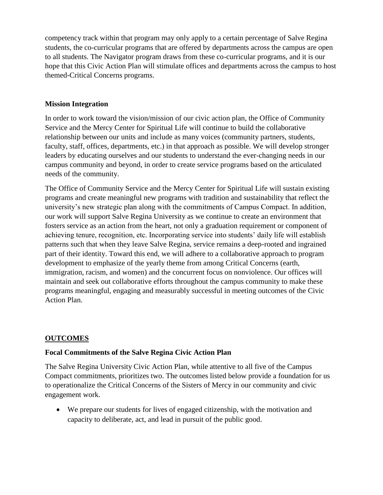competency track within that program may only apply to a certain percentage of Salve Regina students, the co-curricular programs that are offered by departments across the campus are open to all students. The Navigator program draws from these co-curricular programs, and it is our hope that this Civic Action Plan will stimulate offices and departments across the campus to host themed-Critical Concerns programs.

## **Mission Integration**

In order to work toward the vision/mission of our civic action plan, the Office of Community Service and the Mercy Center for Spiritual Life will continue to build the collaborative relationship between our units and include as many voices (community partners, students, faculty, staff, offices, departments, etc.) in that approach as possible. We will develop stronger leaders by educating ourselves and our students to understand the ever-changing needs in our campus community and beyond, in order to create service programs based on the articulated needs of the community.

The Office of Community Service and the Mercy Center for Spiritual Life will sustain existing programs and create meaningful new programs with tradition and sustainability that reflect the university's new strategic plan along with the commitments of Campus Compact. In addition, our work will support Salve Regina University as we continue to create an environment that fosters service as an action from the heart, not only a graduation requirement or component of achieving tenure, recognition, etc. Incorporating service into students' daily life will establish patterns such that when they leave Salve Regina, service remains a deep-rooted and ingrained part of their identity. Toward this end, we will adhere to a collaborative approach to program development to emphasize of the yearly theme from among Critical Concerns (earth, immigration, racism, and women) and the concurrent focus on nonviolence. Our offices will maintain and seek out collaborative efforts throughout the campus community to make these programs meaningful, engaging and measurably successful in meeting outcomes of the Civic Action Plan.

## **OUTCOMES**

## **Focal Commitments of the Salve Regina Civic Action Plan**

The Salve Regina University Civic Action Plan, while attentive to all five of the Campus Compact commitments, prioritizes two. The outcomes listed below provide a foundation for us to operationalize the Critical Concerns of the Sisters of Mercy in our community and civic engagement work.

 We prepare our students for lives of engaged citizenship, with the motivation and capacity to deliberate, act, and lead in pursuit of the public good.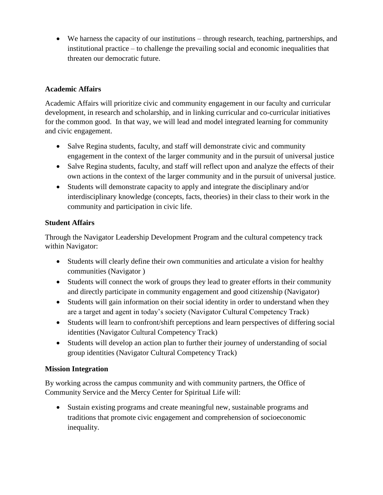We harness the capacity of our institutions – through research, teaching, partnerships, and institutional practice – to challenge the prevailing social and economic inequalities that threaten our democratic future.

## **Academic Affairs**

Academic Affairs will prioritize civic and community engagement in our faculty and curricular development, in research and scholarship, and in linking curricular and co-curricular initiatives for the common good. In that way, we will lead and model integrated learning for community and civic engagement.

- Salve Regina students, faculty, and staff will demonstrate civic and community engagement in the context of the larger community and in the pursuit of universal justice
- Salve Regina students, faculty, and staff will reflect upon and analyze the effects of their own actions in the context of the larger community and in the pursuit of universal justice.
- Students will demonstrate capacity to apply and integrate the disciplinary and/or interdisciplinary knowledge (concepts, facts, theories) in their class to their work in the community and participation in civic life.

## **Student Affairs**

Through the Navigator Leadership Development Program and the cultural competency track within Navigator:

- Students will clearly define their own communities and articulate a vision for healthy communities (Navigator )
- Students will connect the work of groups they lead to greater efforts in their community and directly participate in community engagement and good citizenship (Navigator)
- Students will gain information on their social identity in order to understand when they are a target and agent in today's society (Navigator Cultural Competency Track)
- Students will learn to confront/shift perceptions and learn perspectives of differing social identities (Navigator Cultural Competency Track)
- Students will develop an action plan to further their journey of understanding of social group identities (Navigator Cultural Competency Track)

## **Mission Integration**

By working across the campus community and with community partners, the Office of Community Service and the Mercy Center for Spiritual Life will:

 Sustain existing programs and create meaningful new, sustainable programs and traditions that promote civic engagement and comprehension of socioeconomic inequality.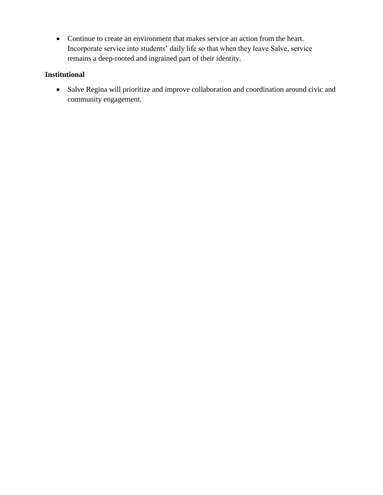Continue to create an environment that makes service an action from the heart. Incorporate service into students' daily life so that when they leave Salve, service remains a deep-rooted and ingrained part of their identity.

## **Institutional**

 Salve Regina will prioritize and improve collaboration and coordination around civic and community engagement.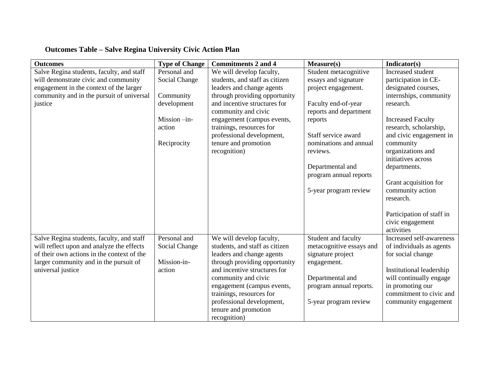# **Outcomes Table – Salve Regina University Civic Action Plan**

| <b>Outcomes</b>                                                                        | <b>Type of Change</b> | <b>Commitments 2 and 4</b>                                 | Measure(s)                                      | Indicator(s)                                  |
|----------------------------------------------------------------------------------------|-----------------------|------------------------------------------------------------|-------------------------------------------------|-----------------------------------------------|
| Salve Regina students, faculty, and staff                                              | Personal and          | We will develop faculty,                                   | Student metacognitive                           | Increased student                             |
| will demonstrate civic and community                                                   | Social Change         | students, and staff as citizen                             | essays and signature                            | participation in CE-                          |
| engagement in the context of the larger                                                |                       | leaders and change agents                                  | project engagement.                             | designated courses,                           |
| community and in the pursuit of universal                                              | Community             | through providing opportunity                              |                                                 | internships, community                        |
| justice                                                                                | development           | and incentive structures for                               | Faculty end-of-year                             | research.                                     |
|                                                                                        |                       | community and civic                                        | reports and department                          |                                               |
|                                                                                        | Mission -in-          | engagement (campus events,                                 | reports                                         | <b>Increased Faculty</b>                      |
|                                                                                        | action                | trainings, resources for                                   |                                                 | research, scholarship,                        |
|                                                                                        |                       | professional development,                                  | Staff service award                             | and civic engagement in                       |
|                                                                                        | Reciprocity           | tenure and promotion                                       | nominations and annual                          | community                                     |
|                                                                                        |                       | recognition)                                               | reviews.                                        | organizations and                             |
|                                                                                        |                       |                                                            |                                                 | initiatives across                            |
|                                                                                        |                       |                                                            | Departmental and                                | departments.                                  |
|                                                                                        |                       |                                                            | program annual reports                          |                                               |
|                                                                                        |                       |                                                            |                                                 | Grant acquisition for                         |
|                                                                                        |                       |                                                            | 5-year program review                           | community action                              |
|                                                                                        |                       |                                                            |                                                 | research.                                     |
|                                                                                        |                       |                                                            |                                                 |                                               |
|                                                                                        |                       |                                                            |                                                 | Participation of staff in<br>civic engagement |
|                                                                                        |                       |                                                            |                                                 | activities                                    |
|                                                                                        | Personal and          |                                                            |                                                 | Increased self-awareness                      |
| Salve Regina students, faculty, and staff<br>will reflect upon and analyze the effects |                       | We will develop faculty,<br>students, and staff as citizen | Student and faculty<br>metacognitive essays and |                                               |
| of their own actions in the context of the                                             | Social Change         | leaders and change agents                                  | signature project                               | of individuals as agents<br>for social change |
| larger community and in the pursuit of                                                 | Mission-in-           | through providing opportunity                              | engagement.                                     |                                               |
| universal justice                                                                      | action                | and incentive structures for                               |                                                 | Institutional leadership                      |
|                                                                                        |                       | community and civic                                        | Departmental and                                | will continually engage                       |
|                                                                                        |                       | engagement (campus events,                                 | program annual reports.                         | in promoting our                              |
|                                                                                        |                       | trainings, resources for                                   |                                                 | commitment to civic and                       |
|                                                                                        |                       | professional development,                                  | 5-year program review                           | community engagement                          |
|                                                                                        |                       | tenure and promotion                                       |                                                 |                                               |
|                                                                                        |                       |                                                            |                                                 |                                               |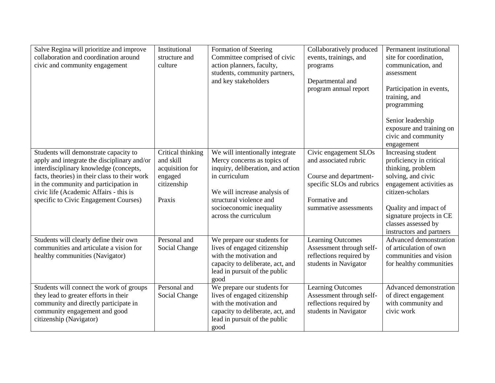| Salve Regina will prioritize and improve<br>collaboration and coordination around<br>civic and community engagement                                                                                                                                                                                         | Institutional<br>structure and<br>culture                                             | Formation of Steering<br>Committee comprised of civic<br>action planners, faculty,<br>students, community partners,<br>and key stakeholders                                                                                          | Collaboratively produced<br>events, trainings, and<br>programs<br>Departmental and<br>program annual report                                     | Permanent institutional<br>site for coordination,<br>communication, and<br>assessment<br>Participation in events,<br>training, and<br>programming<br>Senior leadership<br>exposure and training on<br>civic and community<br>engagement          |
|-------------------------------------------------------------------------------------------------------------------------------------------------------------------------------------------------------------------------------------------------------------------------------------------------------------|---------------------------------------------------------------------------------------|--------------------------------------------------------------------------------------------------------------------------------------------------------------------------------------------------------------------------------------|-------------------------------------------------------------------------------------------------------------------------------------------------|--------------------------------------------------------------------------------------------------------------------------------------------------------------------------------------------------------------------------------------------------|
| Students will demonstrate capacity to<br>apply and integrate the disciplinary and/or<br>interdisciplinary knowledge (concepts,<br>facts, theories) in their class to their work<br>in the community and participation in<br>civic life (Academic Affairs - this is<br>specific to Civic Engagement Courses) | Critical thinking<br>and skill<br>acquisition for<br>engaged<br>citizenship<br>Praxis | We will intentionally integrate<br>Mercy concerns as topics of<br>inquiry, deliberation, and action<br>in curriculum<br>We will increase analysis of<br>structural violence and<br>socioeconomic inequality<br>across the curriculum | Civic engagement SLOs<br>and associated rubric<br>Course and department-<br>specific SLOs and rubrics<br>Formative and<br>summative assessments | Increasing student<br>proficiency in critical<br>thinking, problem<br>solving, and civic<br>engagement activities as<br>citizen-scholars<br>Quality and impact of<br>signature projects in CE<br>classes assessed by<br>instructors and partners |
| Students will clearly define their own<br>communities and articulate a vision for<br>healthy communities (Navigator)                                                                                                                                                                                        | Personal and<br>Social Change                                                         | We prepare our students for<br>lives of engaged citizenship<br>with the motivation and<br>capacity to deliberate, act, and<br>lead in pursuit of the public<br>good                                                                  | <b>Learning Outcomes</b><br>Assessment through self-<br>reflections required by<br>students in Navigator                                        | <b>Advanced demonstration</b><br>of articulation of own<br>communities and vision<br>for healthy communities                                                                                                                                     |
| Students will connect the work of groups<br>they lead to greater efforts in their<br>community and directly participate in<br>community engagement and good<br>citizenship (Navigator)                                                                                                                      | Personal and<br>Social Change                                                         | We prepare our students for<br>lives of engaged citizenship<br>with the motivation and<br>capacity to deliberate, act, and<br>lead in pursuit of the public<br>good                                                                  | <b>Learning Outcomes</b><br>Assessment through self-<br>reflections required by<br>students in Navigator                                        | <b>Advanced demonstration</b><br>of direct engagement<br>with community and<br>civic work                                                                                                                                                        |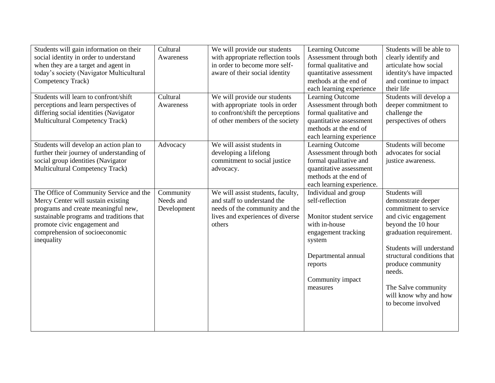| Students will gain information on their   | Cultural    | We will provide our students      | <b>Learning Outcome</b>   | Students will be able to   |
|-------------------------------------------|-------------|-----------------------------------|---------------------------|----------------------------|
| social identity in order to understand    | Awareness   | with appropriate reflection tools | Assessment through both   | clearly identify and       |
| when they are a target and agent in       |             | in order to become more self-     | formal qualitative and    | articulate how social      |
| today's society (Navigator Multicultural  |             | aware of their social identity    | quantitative assessment   | identity's have impacted   |
| Competency Track)                         |             |                                   | methods at the end of     | and continue to impact     |
|                                           |             |                                   | each learning experience  | their life                 |
| Students will learn to confront/shift     | Cultural    | We will provide our students      | Learning Outcome          | Students will develop a    |
| perceptions and learn perspectives of     | Awareness   | with appropriate tools in order   | Assessment through both   | deeper commitment to       |
| differing social identities (Navigator    |             | to confront/shift the perceptions | formal qualitative and    | challenge the              |
| <b>Multicultural Competency Track)</b>    |             | of other members of the society   | quantitative assessment   | perspectives of others     |
|                                           |             |                                   | methods at the end of     |                            |
|                                           |             |                                   | each learning experience  |                            |
| Students will develop an action plan to   | Advocacy    | We will assist students in        | <b>Learning Outcome</b>   | Students will become       |
| further their journey of understanding of |             | developing a lifelong             | Assessment through both   | advocates for social       |
| social group identities (Navigator        |             | commitment to social justice      | formal qualitative and    | justice awareness.         |
| Multicultural Competency Track)           |             | advocacy.                         | quantitative assessment   |                            |
|                                           |             |                                   | methods at the end of     |                            |
|                                           |             |                                   | each learning experience. |                            |
|                                           |             |                                   |                           |                            |
| The Office of Community Service and the   | Community   | We will assist students, faculty, | Individual and group      | Students will              |
| Mercy Center will sustain existing        | Needs and   | and staff to understand the       | self-reflection           | demonstrate deeper         |
| programs and create meaningful new,       | Development | needs of the community and the    |                           | commitment to service      |
| sustainable programs and traditions that  |             | lives and experiences of diverse  | Monitor student service   | and civic engagement       |
| promote civic engagement and              |             | others                            | with in-house             | beyond the 10 hour         |
| comprehension of socioeconomic            |             |                                   | engagement tracking       | graduation requirement.    |
| inequality                                |             |                                   | system                    |                            |
|                                           |             |                                   |                           | Students will understand   |
|                                           |             |                                   | Departmental annual       | structural conditions that |
|                                           |             |                                   | reports                   | produce community          |
|                                           |             |                                   |                           | needs.                     |
|                                           |             |                                   | Community impact          |                            |
|                                           |             |                                   | measures                  | The Salve community        |
|                                           |             |                                   |                           | will know why and how      |
|                                           |             |                                   |                           | to become involved         |
|                                           |             |                                   |                           |                            |
|                                           |             |                                   |                           |                            |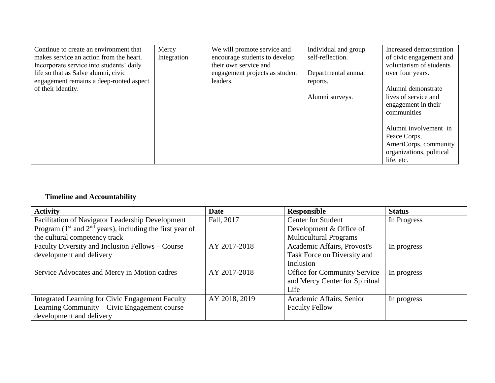| Continue to create an environment that   | Mercy       | We will promote service and    | Individual and group | Increased demonstration  |
|------------------------------------------|-------------|--------------------------------|----------------------|--------------------------|
| makes service an action from the heart.  | Integration | encourage students to develop  | self-reflection.     | of civic engagement and  |
| Incorporate service into students' daily |             | their own service and          |                      | voluntarism of students  |
| life so that as Salve alumni, civic      |             | engagement projects as student | Departmental annual  | over four years.         |
| engagement remains a deep-rooted aspect  |             | leaders.                       | reports.             |                          |
| of their identity.                       |             |                                |                      | Alumni demonstrate       |
|                                          |             |                                | Alumni surveys.      | lives of service and     |
|                                          |             |                                |                      | engagement in their      |
|                                          |             |                                |                      | communities              |
|                                          |             |                                |                      |                          |
|                                          |             |                                |                      | Alumni involvement in    |
|                                          |             |                                |                      | Peace Corps,             |
|                                          |             |                                |                      | AmeriCorps, community    |
|                                          |             |                                |                      | organizations, political |
|                                          |             |                                |                      | life, etc.               |

# **Timeline and Accountability**

| <b>Activity</b>                                              | <b>Date</b>   | Responsible                    | <b>Status</b> |
|--------------------------------------------------------------|---------------|--------------------------------|---------------|
| Facilitation of Navigator Leadership Development             | Fall, 2017    | <b>Center for Student</b>      | In Progress   |
| Program $(1st$ and $2nd$ years), including the first year of |               | Development & Office of        |               |
| the cultural competency track                                |               | <b>Multicultural Programs</b>  |               |
| Faculty Diversity and Inclusion Fellows - Course             | AY 2017-2018  | Academic Affairs, Provost's    | In progress   |
| development and delivery                                     |               | Task Force on Diversity and    |               |
|                                                              |               | Inclusion                      |               |
| Service Advocates and Mercy in Motion cadres                 | AY 2017-2018  | Office for Community Service   | In progress   |
|                                                              |               | and Mercy Center for Spiritual |               |
|                                                              |               | Life                           |               |
| Integrated Learning for Civic Engagement Faculty             | AY 2018, 2019 | Academic Affairs, Senior       | In progress   |
| Learning Community – Civic Engagement course                 |               | <b>Faculty Fellow</b>          |               |
| development and delivery                                     |               |                                |               |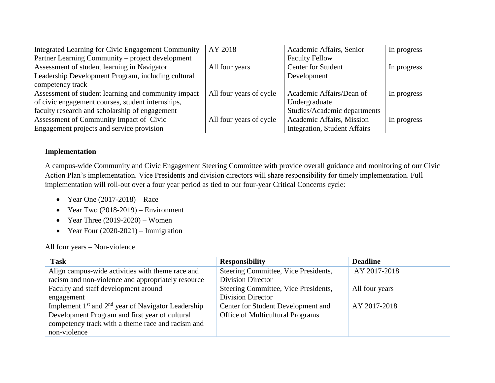| Integrated Learning for Civic Engagement Community  | AY 2018                 | Academic Affairs, Senior            | In progress |
|-----------------------------------------------------|-------------------------|-------------------------------------|-------------|
| Partner Learning Community – project development    |                         | <b>Faculty Fellow</b>               |             |
| Assessment of student learning in Navigator         | All four years          | <b>Center for Student</b>           | In progress |
| Leadership Development Program, including cultural  |                         | Development                         |             |
| competency track                                    |                         |                                     |             |
| Assessment of student learning and community impact | All four years of cycle | Academic Affairs/Dean of            | In progress |
| of civic engagement courses, student internships,   |                         | Undergraduate                       |             |
| faculty research and scholarship of engagement      |                         | Studies/Academic departments        |             |
| Assessment of Community Impact of Civic             | All four years of cycle | Academic Affairs, Mission           | In progress |
| Engagement projects and service provision           |                         | <b>Integration, Student Affairs</b> |             |

## **Implementation**

A campus-wide Community and Civic Engagement Steering Committee with provide overall guidance and monitoring of our Civic Action Plan's implementation. Vice Presidents and division directors will share responsibility for timely implementation. Full implementation will roll-out over a four year period as tied to our four-year Critical Concerns cycle:

- Year One  $(2017-2018)$  Race
- Year Two  $(2018-2019)$  Environment
- Year Three  $(2019-2020)$  Women
- Year Four  $(2020-2021)$  Immigration

All four years – Non-violence

| <b>Task</b>                                                                                                                                                                   | <b>Responsibility</b>                                                  | <b>Deadline</b> |
|-------------------------------------------------------------------------------------------------------------------------------------------------------------------------------|------------------------------------------------------------------------|-----------------|
| Align campus-wide activities with theme race and<br>racism and non-violence and appropriately resource                                                                        | Steering Committee, Vice Presidents,<br>Division Director              | AY 2017-2018    |
| Faculty and staff development around<br>engagement                                                                                                                            | Steering Committee, Vice Presidents,<br><b>Division Director</b>       | All four years  |
| Implement $1st$ and $2nd$ year of Navigator Leadership<br>Development Program and first year of cultural<br>competency track with a theme race and racism and<br>non-violence | Center for Student Development and<br>Office of Multicultural Programs | AY 2017-2018    |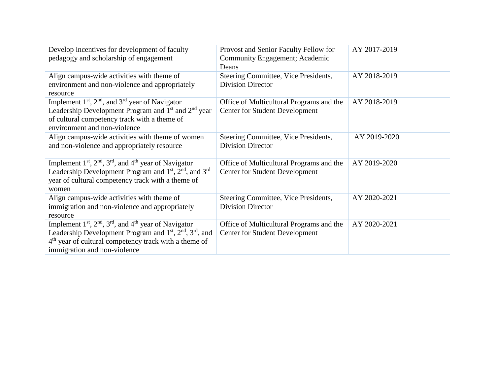| Provost and Senior Faculty Fellow for       | AY 2017-2019 |
|---------------------------------------------|--------------|
| Community Engagement; Academic              |              |
| Deans                                       |              |
| Steering Committee, Vice Presidents,        | AY 2018-2019 |
| <b>Division Director</b>                    |              |
|                                             |              |
| Office of Multicultural Programs and the    | AY 2018-2019 |
| <b>Center for Student Development</b>       |              |
|                                             |              |
|                                             |              |
| <b>Steering Committee, Vice Presidents,</b> | AY 2019-2020 |
| <b>Division Director</b>                    |              |
|                                             |              |
| Office of Multicultural Programs and the    | AY 2019-2020 |
| <b>Center for Student Development</b>       |              |
|                                             |              |
|                                             |              |
| Steering Committee, Vice Presidents,        | AY 2020-2021 |
| <b>Division Director</b>                    |              |
|                                             |              |
| Office of Multicultural Programs and the    | AY 2020-2021 |
| <b>Center for Student Development</b>       |              |
|                                             |              |
|                                             |              |
|                                             |              |